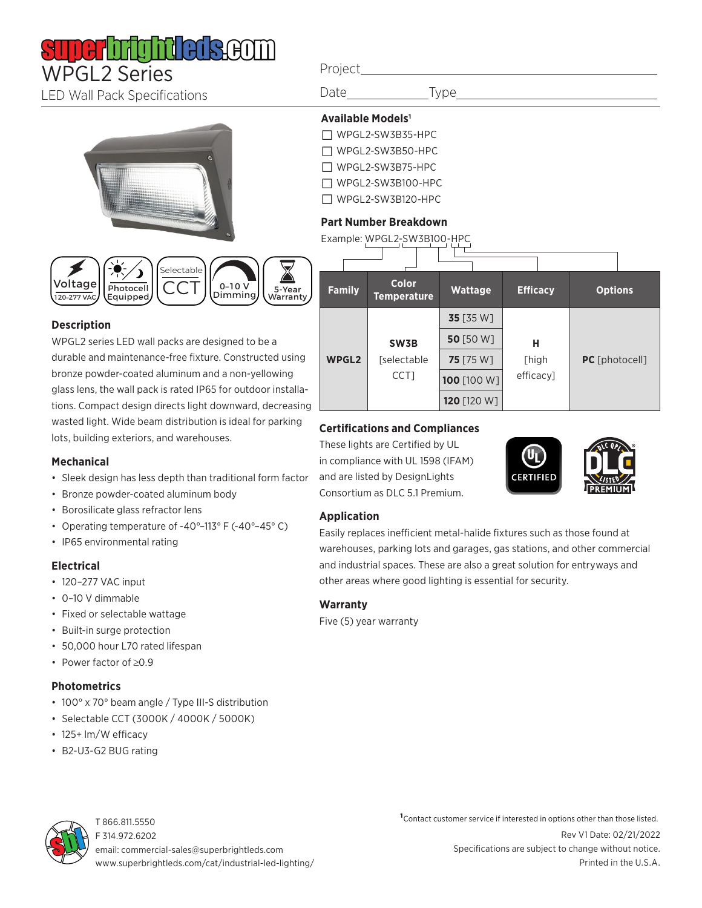# WPGL2 Series

LED Wall Pack Specifications





#### **Description**

WPGL2 series LED wall packs are designed to be a durable and maintenance-free fixture. Constructed using bronze powder-coated aluminum and a non-yellowing glass lens, the wall pack is rated IP65 for outdoor installations. Compact design directs light downward, decreasing wasted light. Wide beam distribution is ideal for parking lots, building exteriors, and warehouses.

#### **Mechanical**

- Sleek design has less depth than traditional form factor
- Bronze powder-coated aluminum body
- Borosilicate glass refractor lens
- Operating temperature of -40°–113° F (-40°–45° C)
- IP65 environmental rating

#### **Electrical**

- 120–277 VAC input
- 0–10 V dimmable
- Fixed or selectable wattage
- Built-in surge protection
- 50,000 hour L70 rated lifespan
- Power factor of ≥0.9

#### **Photometrics**

- 100° x 70° beam angle / Type III-S distribution
- Selectable CCT (3000K / 4000K / 5000K)
- 125+ lm/W efficacy
- B2-U3-G2 BUG rating

#### Project

Date \_\_\_\_\_\_\_\_\_\_\_\_\_\_Type\_

### **Available Models1**

- □ WPGL2-SW3B35-HPC
- □ WPGL2-SW3B50-HPC
- □ WPGL2-SW3B75-HPC
- □ WPGL2-SW3B100-HPC
- □ WPGL2-SW3B120-HPC

#### **Part Number Breakdown**

| Example: WPGL2-SW3B100-HPC |  |  |  |
|----------------------------|--|--|--|
|                            |  |  |  |

| <b>Family</b> | <b>Color</b><br><b>Temperature</b> | <b>Wattage</b>   | <b>Efficacy</b>         | <b>Options</b> |  |  |  |
|---------------|------------------------------------|------------------|-------------------------|----------------|--|--|--|
| <b>WPGL2</b>  |                                    | <b>35</b> [35 W] | н<br>[high<br>efficacy] |                |  |  |  |
|               | SW3B                               | 50 [50 W]        |                         | PC [photocell] |  |  |  |
|               | [selectable<br>CCT]                | 75 [75 W]        |                         |                |  |  |  |
|               |                                    | 100 [100 W]      |                         |                |  |  |  |
|               |                                    | 120 [120 W]      |                         |                |  |  |  |

#### **Certifications and Compliances**

These lights are Certified by UL in compliance with UL 1598 (IFAM) and are listed by DesignLights Consortium as DLC 5.1 Premium.





#### **Application**

Easily replaces inefficient metal-halide fixtures such as those found at warehouses, parking lots and garages, gas stations, and other commercial and industrial spaces. These are also a great solution for entryways and other areas where good lighting is essential for security.

#### **Warranty**

Five (5) year warranty



T 866.811.5550 F 314.972.6202 email: commercial-sales@superbrightleds.com www.superbrightleds.com/cat/industrial-led-lighting/

Rev V1 Date: 02/21/2022 Specifications are subject to change without notice. Printed in the U.S.A. **1**Contact customer service if interested in options other than those listed.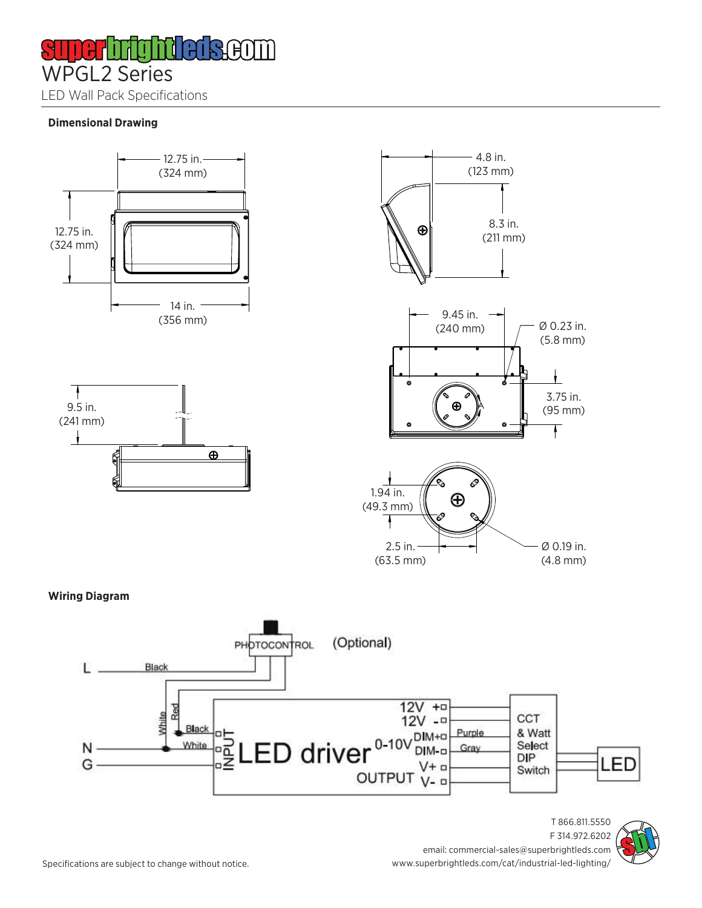I H ĦΙ WPGL2 Series

LED Wall Pack Specifications

#### **Dimensional Drawing**